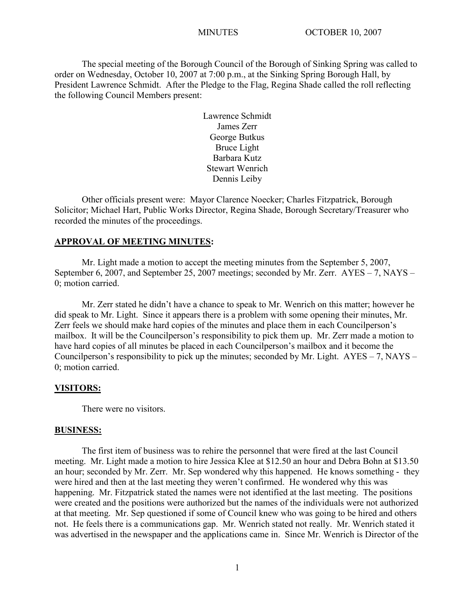The special meeting of the Borough Council of the Borough of Sinking Spring was called to order on Wednesday, October 10, 2007 at 7:00 p.m., at the Sinking Spring Borough Hall, by President Lawrence Schmidt. After the Pledge to the Flag, Regina Shade called the roll reflecting the following Council Members present:

> Lawrence Schmidt James Zerr George Butkus Bruce Light Barbara Kutz Stewart Wenrich Dennis Leiby

Other officials present were: Mayor Clarence Noecker; Charles Fitzpatrick, Borough Solicitor; Michael Hart, Public Works Director, Regina Shade, Borough Secretary/Treasurer who recorded the minutes of the proceedings.

## **APPROVAL OF MEETING MINUTES:**

Mr. Light made a motion to accept the meeting minutes from the September 5, 2007, September 6, 2007, and September 25, 2007 meetings; seconded by Mr. Zerr. AYES – 7, NAYS – 0; motion carried.

Mr. Zerr stated he didn't have a chance to speak to Mr. Wenrich on this matter; however he did speak to Mr. Light. Since it appears there is a problem with some opening their minutes, Mr. Zerr feels we should make hard copies of the minutes and place them in each Councilperson's mailbox. It will be the Councilperson's responsibility to pick them up. Mr. Zerr made a motion to have hard copies of all minutes be placed in each Councilperson's mailbox and it become the Councilperson's responsibility to pick up the minutes; seconded by Mr. Light.  $AYES - 7$ ,  $NAYS -$ 0; motion carried.

## **VISITORS:**

There were no visitors.

#### **BUSINESS:**

The first item of business was to rehire the personnel that were fired at the last Council meeting. Mr. Light made a motion to hire Jessica Klee at \$12.50 an hour and Debra Bohn at \$13.50 an hour; seconded by Mr. Zerr. Mr. Sep wondered why this happened. He knows something - they were hired and then at the last meeting they weren't confirmed. He wondered why this was happening. Mr. Fitzpatrick stated the names were not identified at the last meeting. The positions were created and the positions were authorized but the names of the individuals were not authorized at that meeting. Mr. Sep questioned if some of Council knew who was going to be hired and others not. He feels there is a communications gap. Mr. Wenrich stated not really. Mr. Wenrich stated it was advertised in the newspaper and the applications came in. Since Mr. Wenrich is Director of the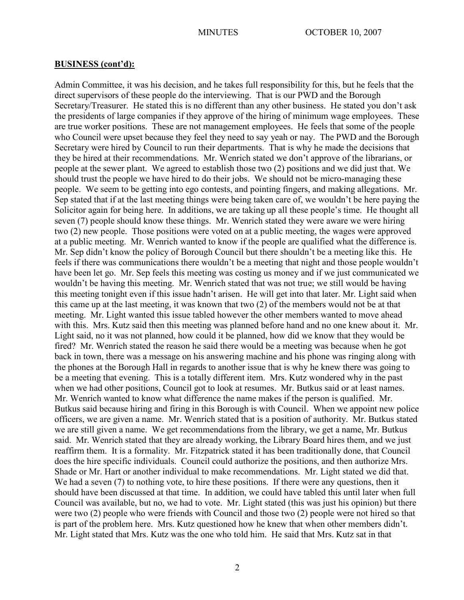Admin Committee, it was his decision, and he takes full responsibility for this, but he feels that the direct supervisors of these people do the interviewing. That is our PWD and the Borough Secretary/Treasurer. He stated this is no different than any other business. He stated you don't ask the presidents of large companies if they approve of the hiring of minimum wage employees. These are true worker positions. These are not management employees. He feels that some of the people who Council were upset because they feel they need to say yeah or nay. The PWD and the Borough Secretary were hired by Council to run their departments. That is why he made the decisions that they be hired at their recommendations. Mr. Wenrich stated we don't approve of the librarians, or people at the sewer plant. We agreed to establish those two (2) positions and we did just that. We should trust the people we have hired to do their jobs. We should not be micro-managing these people. We seem to be getting into ego contests, and pointing fingers, and making allegations. Mr. Sep stated that if at the last meeting things were being taken care of, we wouldn't be here paying the Solicitor again for being here. In additions, we are taking up all these people's time. He thought all seven (7) people should know these things. Mr. Wenrich stated they were aware we were hiring two (2) new people. Those positions were voted on at a public meeting, the wages were approved at a public meeting. Mr. Wenrich wanted to know if the people are qualified what the difference is. Mr. Sep didn't know the policy of Borough Council but there shouldn't be a meeting like this. He feels if there was communications there wouldn't be a meeting that night and those people wouldn't have been let go. Mr. Sep feels this meeting was costing us money and if we just communicated we wouldn't be having this meeting. Mr. Wenrich stated that was not true; we still would be having this meeting tonight even if this issue hadn't arisen. He will get into that later. Mr. Light said when this came up at the last meeting, it was known that two (2) of the members would not be at that meeting. Mr. Light wanted this issue tabled however the other members wanted to move ahead with this. Mrs. Kutz said then this meeting was planned before hand and no one knew about it. Mr. Light said, no it was not planned, how could it be planned, how did we know that they would be fired? Mr. Wenrich stated the reason he said there would be a meeting was because when he got back in town, there was a message on his answering machine and his phone was ringing along with the phones at the Borough Hall in regards to another issue that is why he knew there was going to be a meeting that evening. This is a totally different item. Mrs. Kutz wondered why in the past when we had other positions, Council got to look at resumes. Mr. Butkus said or at least names. Mr. Wenrich wanted to know what difference the name makes if the person is qualified. Mr. Butkus said because hiring and firing in this Borough is with Council. When we appoint new police officers, we are given a name. Mr. Wenrich stated that is a position of authority. Mr. Butkus stated we are still given a name. We get recommendations from the library, we get a name, Mr. Butkus said. Mr. Wenrich stated that they are already working, the Library Board hires them, and we just reaffirm them. It is a formality. Mr. Fitzpatrick stated it has been traditionally done, that Council does the hire specific individuals. Council could authorize the positions, and then authorize Mrs. Shade or Mr. Hart or another individual to make recommendations. Mr. Light stated we did that. We had a seven (7) to nothing vote, to hire these positions. If there were any questions, then it should have been discussed at that time. In addition, we could have tabled this until later when full Council was available, but no, we had to vote. Mr. Light stated (this was just his opinion) but there were two (2) people who were friends with Council and those two (2) people were not hired so that is part of the problem here. Mrs. Kutz questioned how he knew that when other members didn't. Mr. Light stated that Mrs. Kutz was the one who told him. He said that Mrs. Kutz sat in that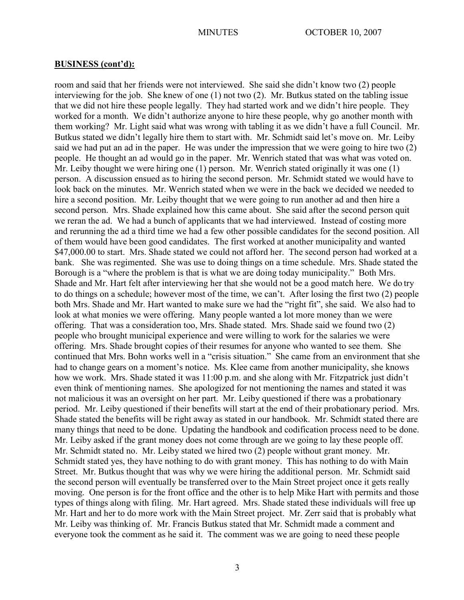room and said that her friends were not interviewed. She said she didn't know two (2) people interviewing for the job. She knew of one (1) not two (2). Mr. Butkus stated on the tabling issue that we did not hire these people legally. They had started work and we didn't hire people. They worked for a month. We didn't authorize anyone to hire these people, why go another month with them working? Mr. Light said what was wrong with tabling it as we didn't have a full Council. Mr. Butkus stated we didn't legally hire them to start with. Mr. Schmidt said let's move on. Mr. Leiby said we had put an ad in the paper. He was under the impression that we were going to hire two (2) people. He thought an ad would go in the paper. Mr. Wenrich stated that was what was voted on. Mr. Leiby thought we were hiring one (1) person. Mr. Wenrich stated originally it was one (1) person. A discussion ensued as to hiring the second person. Mr. Schmidt stated we would have to look back on the minutes. Mr. Wenrich stated when we were in the back we decided we needed to hire a second position. Mr. Leiby thought that we were going to run another ad and then hire a second person. Mrs. Shade explained how this came about. She said after the second person quit we reran the ad. We had a bunch of applicants that we had interviewed. Instead of costing more and rerunning the ad a third time we had a few other possible candidates for the second position. All of them would have been good candidates. The first worked at another municipality and wanted \$47,000.00 to start. Mrs. Shade stated we could not afford her. The second person had worked at a bank. She was regimented. She was use to doing things on a time schedule. Mrs. Shade stated the Borough is a "where the problem is that is what we are doing today municipality." Both Mrs. Shade and Mr. Hart felt after interviewing her that she would not be a good match here. We do try to do things on a schedule; however most of the time, we can't. After losing the first two (2) people both Mrs. Shade and Mr. Hart wanted to make sure we had the "right fit", she said. We also had to look at what monies we were offering. Many people wanted a lot more money than we were offering. That was a consideration too, Mrs. Shade stated. Mrs. Shade said we found two (2) people who brought municipal experience and were willing to work for the salaries we were offering. Mrs. Shade brought copies of their resumes for anyone who wanted to see them. She continued that Mrs. Bohn works well in a "crisis situation." She came from an environment that she had to change gears on a moment's notice. Ms. Klee came from another municipality, she knows how we work. Mrs. Shade stated it was 11:00 p.m. and she along with Mr. Fitzpatrick just didn't even think of mentioning names. She apologized for not mentioning the names and stated it was not malicious it was an oversight on her part. Mr. Leiby questioned if there was a probationary period. Mr. Leiby questioned if their benefits will start at the end of their probationary period. Mrs. Shade stated the benefits will be right away as stated in our handbook. Mr. Schmidt stated there are many things that need to be done. Updating the handbook and codification process need to be done. Mr. Leiby asked if the grant money does not come through are we going to lay these people off. Mr. Schmidt stated no. Mr. Leiby stated we hired two (2) people without grant money. Mr. Schmidt stated yes, they have nothing to do with grant money. This has nothing to do with Main Street. Mr. Butkus thought that was why we were hiring the additional person. Mr. Schmidt said the second person will eventually be transferred over to the Main Street project once it gets really moving. One person is for the front office and the other is to help Mike Hart with permits and those types of things along with filing. Mr. Hart agreed. Mrs. Shade stated these individuals will free up Mr. Hart and her to do more work with the Main Street project. Mr. Zerr said that is probably what Mr. Leiby was thinking of. Mr. Francis Butkus stated that Mr. Schmidt made a comment and everyone took the comment as he said it. The comment was we are going to need these people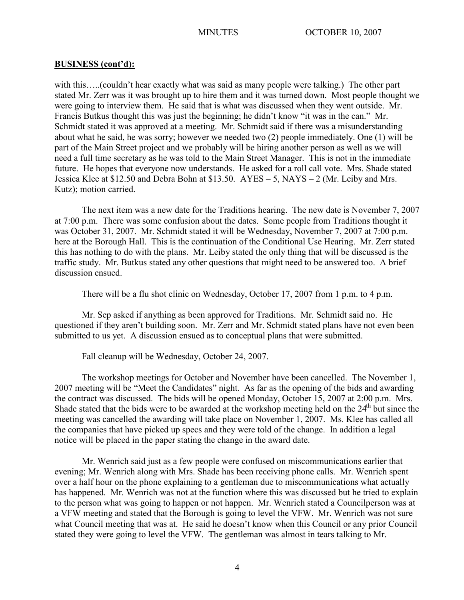with this…..(couldn't hear exactly what was said as many people were talking.) The other part stated Mr. Zerr was it was brought up to hire them and it was turned down. Most people thought we were going to interview them. He said that is what was discussed when they went outside. Mr. Francis Butkus thought this was just the beginning; he didn't know "it was in the can." Mr. Schmidt stated it was approved at a meeting. Mr. Schmidt said if there was a misunderstanding about what he said, he was sorry; however we needed two (2) people immediately. One (1) will be part of the Main Street project and we probably will be hiring another person as well as we will need a full time secretary as he was told to the Main Street Manager. This is not in the immediate future. He hopes that everyone now understands. He asked for a roll call vote. Mrs. Shade stated Jessica Klee at \$12.50 and Debra Bohn at \$13.50. AYES – 5, NAYS – 2 (Mr. Leiby and Mrs. Kutz); motion carried.

The next item was a new date for the Traditions hearing. The new date is November 7, 2007 at 7:00 p.m. There was some confusion about the dates. Some people from Traditions thought it was October 31, 2007. Mr. Schmidt stated it will be Wednesday, November 7, 2007 at 7:00 p.m. here at the Borough Hall. This is the continuation of the Conditional Use Hearing. Mr. Zerr stated this has nothing to do with the plans. Mr. Leiby stated the only thing that will be discussed is the traffic study. Mr. Butkus stated any other questions that might need to be answered too. A brief discussion ensued.

There will be a flu shot clinic on Wednesday, October 17, 2007 from 1 p.m. to 4 p.m.

Mr. Sep asked if anything as been approved for Traditions. Mr. Schmidt said no. He questioned if they aren't building soon. Mr. Zerr and Mr. Schmidt stated plans have not even been submitted to us yet. A discussion ensued as to conceptual plans that were submitted.

Fall cleanup will be Wednesday, October 24, 2007.

The workshop meetings for October and November have been cancelled. The November 1, 2007 meeting will be "Meet the Candidates" night. As far as the opening of the bids and awarding the contract was discussed. The bids will be opened Monday, October 15, 2007 at 2:00 p.m. Mrs. Shade stated that the bids were to be awarded at the workshop meeting held on the 24<sup>th</sup> but since the meeting was cancelled the awarding will take place on November 1, 2007. Ms. Klee has called all the companies that have picked up specs and they were told of the change. In addition a legal notice will be placed in the paper stating the change in the award date.

Mr. Wenrich said just as a few people were confused on miscommunications earlier that evening; Mr. Wenrich along with Mrs. Shade has been receiving phone calls. Mr. Wenrich spent over a half hour on the phone explaining to a gentleman due to miscommunications what actually has happened. Mr. Wenrich was not at the function where this was discussed but he tried to explain to the person what was going to happen or not happen. Mr. Wenrich stated a Councilperson was at a VFW meeting and stated that the Borough is going to level the VFW. Mr. Wenrich was not sure what Council meeting that was at. He said he doesn't know when this Council or any prior Council stated they were going to level the VFW. The gentleman was almost in tears talking to Mr.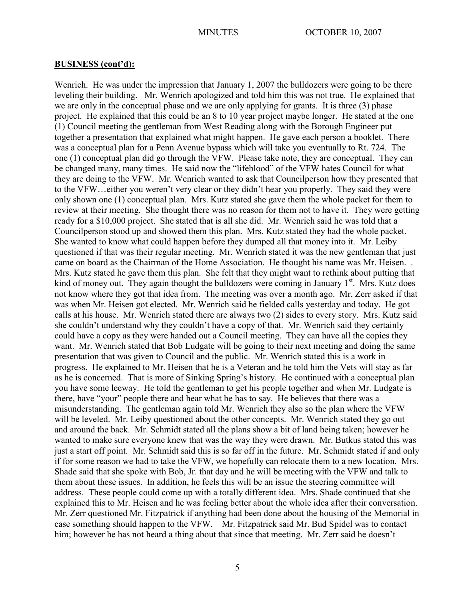Wenrich. He was under the impression that January 1, 2007 the bulldozers were going to be there leveling their building. Mr. Wenrich apologized and told him this was not true. He explained that we are only in the conceptual phase and we are only applying for grants. It is three (3) phase project. He explained that this could be an 8 to 10 year project maybe longer. He stated at the one (1) Council meeting the gentleman from West Reading along with the Borough Engineer put together a presentation that explained what might happen. He gave each person a booklet. There was a conceptual plan for a Penn Avenue bypass which will take you eventually to Rt. 724. The one (1) conceptual plan did go through the VFW. Please take note, they are conceptual. They can be changed many, many times. He said now the "lifeblood" of the VFW hates Council for what they are doing to the VFW. Mr. Wenrich wanted to ask that Councilperson how they presented that to the VFW…either you weren't very clear or they didn't hear you properly. They said they were only shown one (1) conceptual plan. Mrs. Kutz stated she gave them the whole packet for them to review at their meeting. She thought there was no reason for them not to have it. They were getting ready for a \$10,000 project. She stated that is all she did. Mr. Wenrich said he was told that a Councilperson stood up and showed them this plan. Mrs. Kutz stated they had the whole packet. She wanted to know what could happen before they dumped all that money into it. Mr. Leiby questioned if that was their regular meeting. Mr. Wenrich stated it was the new gentleman that just came on board as the Chairman of the Home Association. He thought his name was Mr. Heisen. . Mrs. Kutz stated he gave them this plan. She felt that they might want to rethink about putting that kind of money out. They again thought the bulldozers were coming in January  $1<sup>st</sup>$ . Mrs. Kutz does not know where they got that idea from. The meeting was over a month ago. Mr. Zerr asked if that was when Mr. Heisen got elected. Mr. Wenrich said he fielded calls yesterday and today. He got calls at his house. Mr. Wenrich stated there are always two (2) sides to every story. Mrs. Kutz said she couldn't understand why they couldn't have a copy of that. Mr. Wenrich said they certainly could have a copy as they were handed out a Council meeting. They can have all the copies they want. Mr. Wenrich stated that Bob Ludgate will be going to their next meeting and doing the same presentation that was given to Council and the public. Mr. Wenrich stated this is a work in progress. He explained to Mr. Heisen that he is a Veteran and he told him the Vets will stay as far as he is concerned. That is more of Sinking Spring's history. He continued with a conceptual plan you have some leeway. He told the gentleman to get his people together and when Mr. Ludgate is there, have "your" people there and hear what he has to say. He believes that there was a misunderstanding. The gentleman again told Mr. Wenrich they also so the plan where the VFW will be leveled. Mr. Leiby questioned about the other concepts. Mr. Wenrich stated they go out and around the back. Mr. Schmidt stated all the plans show a bit of land being taken; however he wanted to make sure everyone knew that was the way they were drawn. Mr. Butkus stated this was just a start off point. Mr. Schmidt said this is so far off in the future. Mr. Schmidt stated if and only if for some reason we had to take the VFW, we hopefully can relocate them to a new location. Mrs. Shade said that she spoke with Bob, Jr. that day and he will be meeting with the VFW and talk to them about these issues. In addition, he feels this will be an issue the steering committee will address. These people could come up with a totally different idea. Mrs. Shade continued that she explained this to Mr. Heisen and he was feeling better about the whole idea after their conversation. Mr. Zerr questioned Mr. Fitzpatrick if anything had been done about the housing of the Memorial in case something should happen to the VFW. Mr. Fitzpatrick said Mr. Bud Spidel was to contact him; however he has not heard a thing about that since that meeting. Mr. Zerr said he doesn't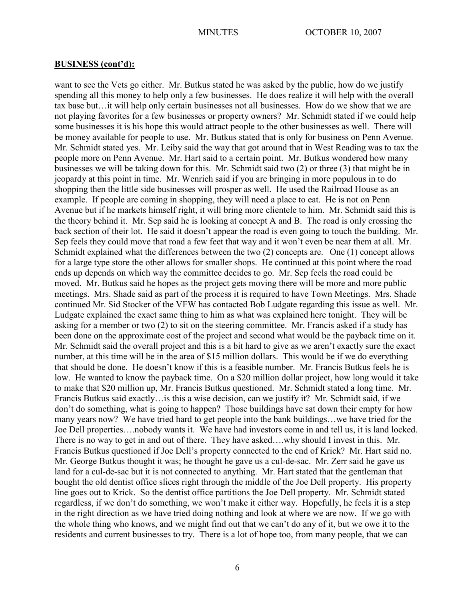want to see the Vets go either. Mr. Butkus stated he was asked by the public, how do we justify spending all this money to help only a few businesses. He does realize it will help with the overall tax base but…it will help only certain businesses not all businesses. How do we show that we are not playing favorites for a few businesses or property owners? Mr. Schmidt stated if we could help some businesses it is his hope this would attract people to the other businesses as well. There will be money available for people to use. Mr. Butkus stated that is only for business on Penn Avenue. Mr. Schmidt stated yes. Mr. Leiby said the way that got around that in West Reading was to tax the people more on Penn Avenue. Mr. Hart said to a certain point. Mr. Butkus wondered how many businesses we will be taking down for this. Mr. Schmidt said two (2) or three (3) that might be in jeopardy at this point in time. Mr. Wenrich said if you are bringing in more populous in to do shopping then the little side businesses will prosper as well. He used the Railroad House as an example. If people are coming in shopping, they will need a place to eat. He is not on Penn Avenue but if he markets himself right, it will bring more clientele to him. Mr. Schmidt said this is the theory behind it. Mr. Sep said he is looking at concept A and B. The road is only crossing the back section of their lot. He said it doesn't appear the road is even going to touch the building. Mr. Sep feels they could move that road a few feet that way and it won't even be near them at all. Mr. Schmidt explained what the differences between the two (2) concepts are. One (1) concept allows for a large type store the other allows for smaller shops. He continued at this point where the road ends up depends on which way the committee decides to go. Mr. Sep feels the road could be moved. Mr. Butkus said he hopes as the project gets moving there will be more and more public meetings. Mrs. Shade said as part of the process it is required to have Town Meetings. Mrs. Shade continued Mr. Sid Stocker of the VFW has contacted Bob Ludgate regarding this issue as well. Mr. Ludgate explained the exact same thing to him as what was explained here tonight. They will be asking for a member or two (2) to sit on the steering committee. Mr. Francis asked if a study has been done on the approximate cost of the project and second what would be the payback time on it. Mr. Schmidt said the overall project and this is a bit hard to give as we aren't exactly sure the exact number, at this time will be in the area of \$15 million dollars. This would be if we do everything that should be done. He doesn't know if this is a feasible number. Mr. Francis Butkus feels he is low. He wanted to know the payback time. On a \$20 million dollar project, how long would it take to make that \$20 million up, Mr. Francis Butkus questioned. Mr. Schmidt stated a long time. Mr. Francis Butkus said exactly…is this a wise decision, can we justify it? Mr. Schmidt said, if we don't do something, what is going to happen? Those buildings have sat down their empty for how many years now? We have tried hard to get people into the bank buildings…we have tried for the Joe Dell properties….nobody wants it. We have had investors come in and tell us, it is land locked. There is no way to get in and out of there. They have asked….why should I invest in this. Mr. Francis Butkus questioned if Joe Dell's property connected to the end of Krick? Mr. Hart said no. Mr. George Butkus thought it was; he thought he gave us a cul-de-sac. Mr. Zerr said he gave us land for a cul-de-sac but it is not connected to anything. Mr. Hart stated that the gentleman that bought the old dentist office slices right through the middle of the Joe Dell property. His property line goes out to Krick. So the dentist office partitions the Joe Dell property. Mr. Schmidt stated regardless, if we don't do something, we won't make it either way. Hopefully, he feels it is a step in the right direction as we have tried doing nothing and look at where we are now. If we go with the whole thing who knows, and we might find out that we can't do any of it, but we owe it to the residents and current businesses to try. There is a lot of hope too, from many people, that we can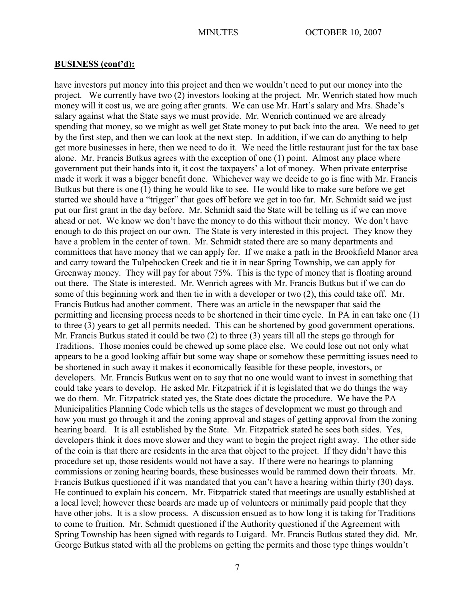have investors put money into this project and then we wouldn't need to put our money into the project. We currently have two (2) investors looking at the project. Mr. Wenrich stated how much money will it cost us, we are going after grants. We can use Mr. Hart's salary and Mrs. Shade's salary against what the State says we must provide. Mr. Wenrich continued we are already spending that money, so we might as well get State money to put back into the area. We need to get by the first step, and then we can look at the next step. In addition, if we can do anything to help get more businesses in here, then we need to do it. We need the little restaurant just for the tax base alone. Mr. Francis Butkus agrees with the exception of one (1) point. Almost any place where government put their hands into it, it cost the taxpayers' a lot of money. When private enterprise made it work it was a bigger benefit done. Whichever way we decide to go is fine with Mr. Francis Butkus but there is one (1) thing he would like to see. He would like to make sure before we get started we should have a "trigger" that goes off before we get in too far. Mr. Schmidt said we just put our first grant in the day before. Mr. Schmidt said the State will be telling us if we can move ahead or not. We know we don't have the money to do this without their money. We don't have enough to do this project on our own. The State is very interested in this project. They know they have a problem in the center of town. Mr. Schmidt stated there are so many departments and committees that have money that we can apply for. If we make a path in the Brookfield Manor area and carry toward the Tulpehocken Creek and tie it in near Spring Township, we can apply for Greenway money. They will pay for about 75%. This is the type of money that is floating around out there. The State is interested. Mr. Wenrich agrees with Mr. Francis Butkus but if we can do some of this beginning work and then tie in with a developer or two (2), this could take off. Mr. Francis Butkus had another comment. There was an article in the newspaper that said the permitting and licensing process needs to be shortened in their time cycle. In PA in can take one (1) to three (3) years to get all permits needed. This can be shortened by good government operations. Mr. Francis Butkus stated it could be two (2) to three (3) years till all the steps go through for Traditions. Those monies could be chewed up some place else. We could lose out not only what appears to be a good looking affair but some way shape or somehow these permitting issues need to be shortened in such away it makes it economically feasible for these people, investors, or developers. Mr. Francis Butkus went on to say that no one would want to invest in something that could take years to develop. He asked Mr. Fitzpatrick if it is legislated that we do things the way we do them. Mr. Fitzpatrick stated yes, the State does dictate the procedure. We have the PA Municipalities Planning Code which tells us the stages of development we must go through and how you must go through it and the zoning approval and stages of getting approval from the zoning hearing board. It is all established by the State. Mr. Fitzpatrick stated he sees both sides. Yes, developers think it does move slower and they want to begin the project right away. The other side of the coin is that there are residents in the area that object to the project. If they didn't have this procedure set up, those residents would not have a say. If there were no hearings to planning commissions or zoning hearing boards, these businesses would be rammed down their throats. Mr. Francis Butkus questioned if it was mandated that you can't have a hearing within thirty (30) days. He continued to explain his concern. Mr. Fitzpatrick stated that meetings are usually established at a local level; however these boards are made up of volunteers or minimally paid people that they have other jobs. It is a slow process. A discussion ensued as to how long it is taking for Traditions to come to fruition. Mr. Schmidt questioned if the Authority questioned if the Agreement with Spring Township has been signed with regards to Luigard. Mr. Francis Butkus stated they did. Mr. George Butkus stated with all the problems on getting the permits and those type things wouldn't